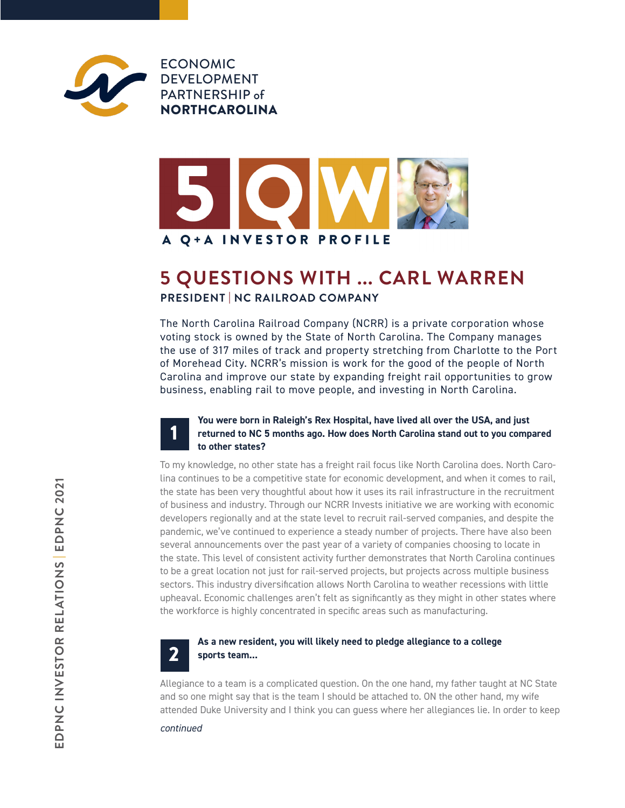

ECONOMIC DEVELOPMENT PARTNERSHIP of NORTHCAROLINA



### **5 QUESTIONS WITH ... CARL WARREN PRESIDENT** | **NC RAILROAD COMPANY**

The North Carolina Railroad Company (NCRR) is a private corporation whose voting stock is owned by the State of North Carolina. The Company manages the use of 317 miles of track and property stretching from Charlotte to the Port of Morehead City. NCRR's mission is work for the good of the people of North Carolina and improve our state by expanding freight rail opportunities to grow business, enabling rail to move people, and investing in North Carolina.



**You were born in Raleigh's Rex Hospital, have lived all over the USA, and just returned to NC 5 months ago. How does North Carolina stand out to you compared to other states?**

To my knowledge, no other state has a freight rail focus like North Carolina does. North Carolina continues to be a competitive state for economic development, and when it comes to rail, the state has been very thoughtful about how it uses its rail infrastructure in the recruitment of business and industry. Through our NCRR Invests initiative we are working with economic developers regionally and at the state level to recruit rail-served companies, and despite the pandemic, we've continued to experience a steady number of projects. There have also been several announcements over the past year of a variety of companies choosing to locate in the state. This level of consistent activity further demonstrates that North Carolina continues to be a great location not just for rail-served projects, but projects across multiple business sectors. This industry diversification allows North Carolina to weather recessions with little upheaval. Economic challenges aren't felt as significantly as they might in other states where the workforce is highly concentrated in specific areas such as manufacturing.

## 2

### **As a new resident, you will likely need to pledge allegiance to a college sports team...**

Allegiance to a team is a complicated question. On the one hand, my father taught at NC State and so one might say that is the team I should be attached to. ON the other hand, my wife attended Duke University and I think you can guess where her allegiances lie. In order to keep

*continued*